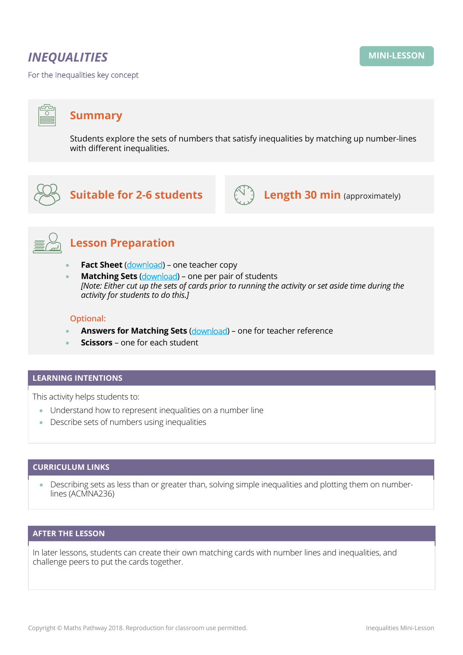# *INEQUALITIES*

For the Inequalities key concept

## **Summary**

Students explore the sets of numbers that satisfy inequalities by matching up number-lines with different inequalities.



 $\overline{\circ}$ 

# **Suitable for 2-6 students COM Length 30 min** (approximately)





# **Lesson Preparation**

- **Fact Sheet** ([download](https://mpcontent.blob.core.windows.net/mini-lesson-resources/Inequalities%20-%20Fact%20Sheet.pdf)) one teacher copy
- **Matching Sets** ([download](https://mpcontent.blob.core.windows.net/mini-lesson-resources/Inequalities%20-%20Matching%20Sets.pdf)) one per pair of students *[Note: Either cut up the sets of cards prior to running the activity or set aside time during the activity for students to do this.]*

#### **Optional:**

- **Answers for Matching Sets** ([download](https://mpcontent.blob.core.windows.net/mini-lesson-resources/Inequalities%20-%20Answers%20for%20Matching%20Sets.pdf)) one for teacher reference
- **Scissors**  one for each student

#### **LEARNING INTENTIONS**

This activity helps students to:

- Understand how to represent inequalities on a number line
- Describe sets of numbers using inequalities

#### **CURRICULUM LINKS**

• Describing sets as less than or greater than, solving simple inequalities and plotting them on numberlines (ACMNA236)

#### **AFTER THE LESSON**

In later lessons, students can create their own matching cards with number lines and inequalities, and challenge peers to put the cards together.